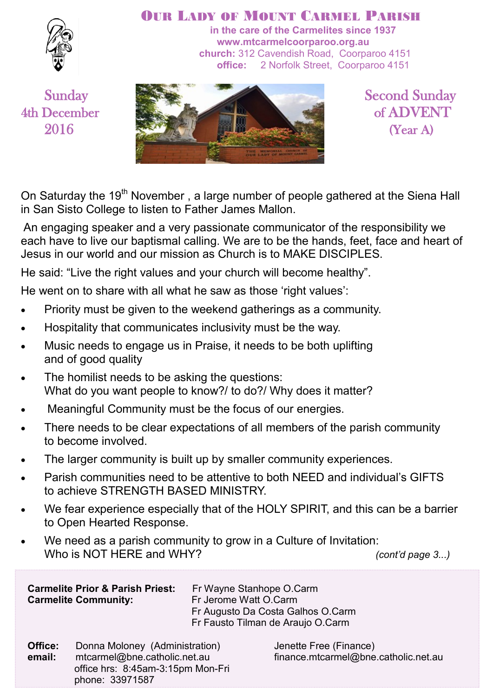

#### OUR LADY OF MOUNT CARMEL PARISH

**in the care of the Carmelites since 1937 www.mtcarmelcoorparoo.org.au church:** 312 Cavendish Road, Coorparoo 4151 **office:** 2 Norfolk Street, Coorparoo 4151



On Saturday the 19<sup>th</sup> November, a large number of people gathered at the Siena Hall in San Sisto College to listen to Father James Mallon.

An engaging speaker and a very passionate communicator of the responsibility we each have to live our baptismal calling. We are to be the hands, feet, face and heart of Jesus in our world and our mission as Church is to MAKE DISCIPLES.

He said: "Live the right values and your church will become healthy".

He went on to share with all what he saw as those 'right values':

- Priority must be given to the weekend gatherings as a community.
- Hospitality that communicates inclusivity must be the way.
- Music needs to engage us in Praise, it needs to be both uplifting and of good quality
- The homilist needs to be asking the questions: What do you want people to know?/ to do?/ Why does it matter?
- Meaningful Community must be the focus of our energies.
- There needs to be clear expectations of all members of the parish community to become involved.
- The larger community is built up by smaller community experiences.
- Parish communities need to be attentive to both NEED and individual's GIFTS to achieve STRENGTH BASED MINISTRY.
- We fear experience especially that of the HOLY SPIRIT, and this can be a barrier to Open Hearted Response.
- We need as a parish community to grow in a Culture of Invitation: Who is NOT HERE and WHY? *(cont'd page 3...)*

| <b>Carmelite Prior &amp; Parish Priest:</b><br><b>Carmelite Community:</b> |                                                                                                 | Fr Wayne Stanhope O.Carm<br>Fr Jerome Watt O.Carm<br>Fr Augusto Da Costa Galhos O.Carm<br>Fr Fausto Tilman de Araujo O.Carm |                                                       |  |  |
|----------------------------------------------------------------------------|-------------------------------------------------------------------------------------------------|-----------------------------------------------------------------------------------------------------------------------------|-------------------------------------------------------|--|--|
| Office:<br>$\sim$ $\sim$ $\sim$ $\sim$ $\sim$ $\sim$ $\sim$                | Donna Moloney (Administration)<br>read a great of Colombia and late that are a street and are a |                                                                                                                             | Jenette Free (Finance)<br>finance peterment@hine_cath |  |  |

 **email:** mtcarmel@bne.catholic.net.au finance.mtcarmel@bne.catholic.net.au office hrs: 8:45am-3:15pm Mon-Fri phone: 33971587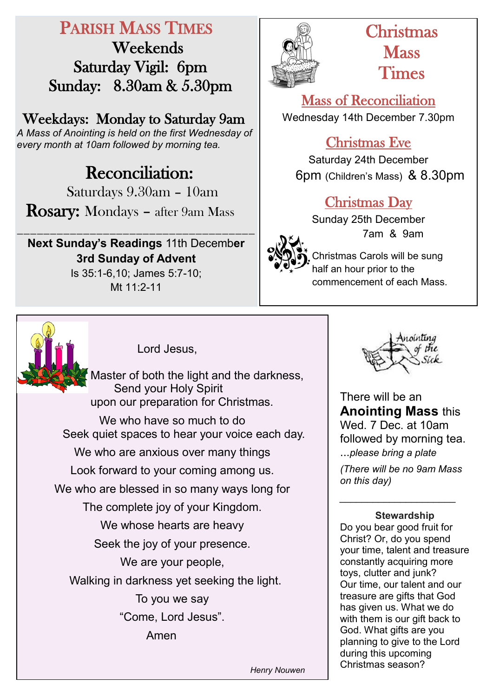# PARISH MASS TIMES

 Weekends Saturday Vigil: 6pm Sunday: 8.30am & 5.30pm

Weekdays: Monday to Saturday 9am

*A Mass of Anointing is held on the first Wednesday of every month at 10am followed by morning tea.*

# **Reconciliation:**

Saturdays 9.30am – 10am

Rosary: Mondays – after 9am Mass

**Next Sunday's Readings** 11th Decemb**er 3rd Sunday of Advent**  Is 35:1-6,10; James 5:7-10;

\_\_\_\_\_\_\_\_\_\_\_\_\_\_\_\_\_\_\_\_\_\_\_\_\_\_\_\_\_\_\_\_\_\_\_\_

Mt 11:2-11



# Christmas **Mass** Times

Mass of Reconciliation Wednesday 14th December 7.30pm

## Christmas Eve

Saturday 24th December 6pm (Children's Mass) & 8.30pm

## Christmas Day

Sunday 25th December 7am & 9am

Christmas Carols will be sung half an hour prior to the commencement of each Mass.



Lord Jesus,

Master of both the light and the darkness, Send your Holy Spirit upon our preparation for Christmas.

We who have so much to do Seek quiet spaces to hear your voice each day. We who are anxious over many things Look forward to your coming among us. We who are blessed in so many ways long for The complete joy of your Kingdom. We whose hearts are heavy Seek the joy of your presence. We are your people, Walking in darkness yet seeking the light. To you we say "Come, Lord Jesus". Amen



There will be an **Anointing Mass** this Wed. 7 Dec. at 10am followed by morning tea. ...*please bring a plate*

*(There will be no 9am Mass on this day)*

*\_\_\_\_\_\_\_\_\_\_\_\_\_\_\_\_\_\_\_\_\_*

#### **Stewardship**

Do you bear good fruit for Christ? Or, do you spend your time, talent and treasure constantly acquiring more toys, clutter and junk? Our time, our talent and our treasure are gifts that God has given us. What we do with them is our gift back to God. What gifts are you planning to give to the Lord during this upcoming Christmas season?

*Henry Nouwen*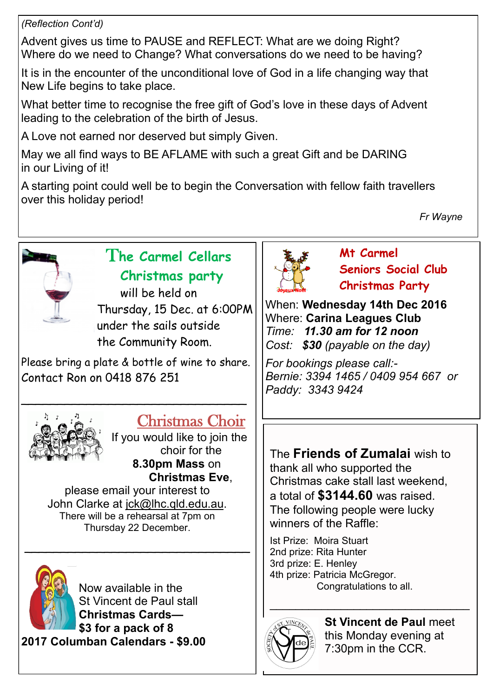#### *(Reflection Cont'd)*

Advent gives us time to PAUSE and REFLECT: What are we doing Right? Where do we need to Change? What conversations do we need to be having?

It is in the encounter of the unconditional love of God in a life changing way that New Life begins to take place.

What better time to recognise the free gift of God's love in these days of Advent leading to the celebration of the birth of Jesus.

A Love not earned nor deserved but simply Given.

May we all find ways to BE AFLAME with such a great Gift and be DARING in our Living of it!

A starting point could well be to begin the Conversation with fellow faith travellers over this holiday period!

*Fr Wayne*



## T**he Carmel Cellars Christmas party**

will be held on Thursday, 15 Dec. at 6:00PM under the sails outside the Community Room.

Please bring a plate & bottle of wine to share. Contact Ron on 0418 876 251

\_\_\_\_\_\_\_\_\_\_\_\_\_\_\_\_\_\_\_\_\_\_\_\_\_\_\_\_\_\_\_



## Christmas Choir

If you would like to join the choir for the **8.30pm Mass** on **Christmas Eve**,

please email your interest to John Clarke at [jck@lhc.qld.edu.au.](mailto:jck@lhc.qld.edu.au) There will be a rehearsal at 7pm on Thursday 22 December.

 $\sim$  , and the set of the set of the set of the set of the set of the set of the set of the set of the set of the set of the set of the set of the set of the set of the set of the set of the set of the set of the set of t



Now available in the St Vincent de Paul stall **Christmas Cards— \$3 for a pack of 8 2017 Columban Calendars - \$9.00**



**Mt Carmel Seniors Social Club Christmas Party**

When: **Wednesday 14th Dec 2016** Where: **Carina Leagues Club** *Time: 11.30 am for 12 noon Cost: \$30 (payable on the day)*

*For bookings please call:- Bernie: 3394 1465 / 0409 954 667 or Paddy: 3343 9424* 

The **Friends of Zumalai** wish to thank all who supported the Christmas cake stall last weekend, a total of **\$3144.60** was raised. The following people were lucky winners of the Raffle:

Ist Prize: Moira Stuart 2nd prize: Rita Hunter 3rd prize: E. Henley 4th prize: Patricia McGregor. Congratulations to all.



**St Vincent de Paul** meet this Monday evening at 7:30pm in the CCR.

\_\_\_\_\_\_\_\_\_\_\_\_\_\_\_\_\_\_\_\_\_\_\_\_\_\_\_\_\_\_\_